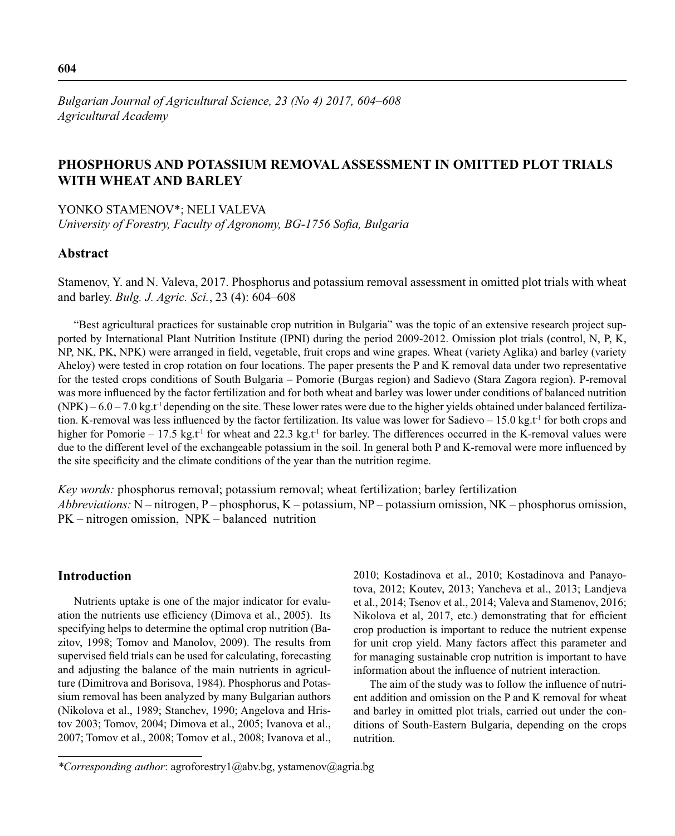# **PHOSPHORUS AND POTASSIUM REMOVAL ASSESSMENT IN OMITTED PLOT TRIALS WITH WHEAT AND BARLEY**

YONKO STAMENOV\*; NELI VALEVA

University of Forestry, Faculty of Agronomy, BG-1756 Sofia, Bulgaria

### **Abstract**

Stamenov, Y. and N. Valeva, 2017. Phosphorus and potassium removal assessment in omitted plot trials with wheat and barley. *Bulg. J. Agric. Sci.*, 23 (4): 604–608

"Best agricultural practices for sustainable crop nutrition in Bulgaria" was the topic of an extensive research project supported by International Plant Nutrition Institute (IPNI) during the period 2009-2012. Omission plot trials (control, N, P, K, NP, NK, PK, NPK) were arranged in field, vegetable, fruit crops and wine grapes. Wheat (variety Aglika) and barley (variety Aheloy) were tested in crop rotation on four locations. The paper presents the P and K removal data under two representative for the tested crops conditions of South Bulgaria – Pomorie (Burgas region) and Sadievo (Stara Zagora region). P-removal was more influenced by the factor fertilization and for both wheat and barley was lower under conditions of balanced nutrition  $(NPK) - 6.0 - 7.0 \text{ kg}$ . These lower rates were due to the higher yields obtained under balanced fertilization. K-removal was less influenced by the factor fertilization. Its value was lower for Sadievo – 15.0 kg.t<sup>-1</sup> for both crops and higher for Pomorie – 17.5 kg.t<sup>-1</sup> for wheat and 22.3 kg.t<sup>-1</sup> for barley. The differences occurred in the K-removal values were due to the different level of the exchangeable potassium in the soil. In general both P and K-removal were more influenced by the site specificity and the climate conditions of the year than the nutrition regime.

*Key words:* phosphorus removal; potassium removal; wheat fertilization; barley fertilization *Abbreviations:* N – nitrogen, P – phosphorus, K – potassium, NP – potassium omission, NK – phosphorus omission, PK – nitrogen omission, NPK – balanced nutrition

## **Introduction**

Nutrients uptake is one of the major indicator for evaluation the nutrients use efficiency (Dimova et al., 2005). Its specifying helps to determine the optimal crop nutrition (Bazitov, 1998; Tomov and Manolov, 2009). The results from supervised field trials can be used for calculating, forecasting and adjusting the balance of the main nutrients in agriculture (Dimitrova and Borisova, 1984). Phosphorus and Potassium removal has been analyzed by many Bulgarian authors (Nikolova et al., 1989; Stanchev, 1990; Angelova and Hristov 2003; Tomov, 2004; Dimova et al., 2005; Ivanova et al., 2007; Tomov et al., 2008; Tomov et al., 2008; Ivanova et al., 2010; Kostadinova et al., 2010; Kostadinova and Panayotova, 2012; Koutev, 2013; Yancheva et al., 2013; Landjeva et al., 2014; Tsenov et al., 2014; Valeva and Stamenov, 2016; Nikolova et al, 2017, etc.) demonstrating that for efficient crop production is important to reduce the nutrient expense for unit crop yield. Many factors affect this parameter and for managing sustainable crop nutrition is important to have information about the influence of nutrient interaction.

The aim of the study was to follow the influence of nutrient addition and omission on the P and K removal for wheat and barley in omitted plot trials, carried out under the conditions of South-Eastern Bulgaria, depending on the crops nutrition.

*<sup>\*</sup>Corresponding author*: agroforestry1@abv.bg, ystamenov@agria.bg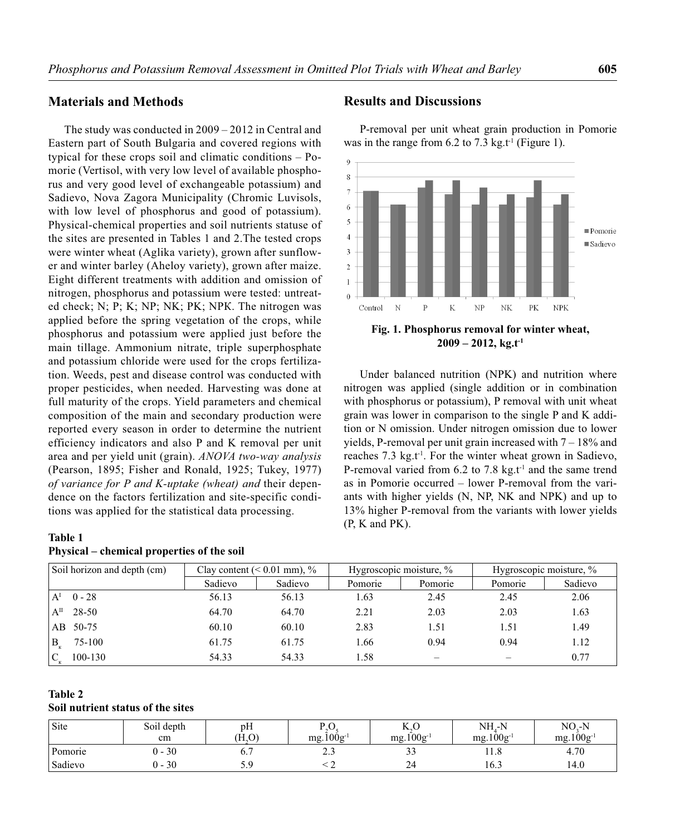## **Materials and Methods**

The study was conducted in 2009 – 2012 in Central and Eastern part of South Bulgaria and covered regions with typical for these crops soil and climatic conditions – Pomorie (Vertisol, with very low level of available phosphorus and very good level of exchangeable potassium) and Sadievo, Nova Zagora Municipality (Chromic Luvisols, with low level of phosphorus and good of potassium). Physical-chemical properties and soil nutrients statuse of the sites are presented in Tables 1 and 2.The tested crops were winter wheat (Aglika variety), grown after sunflower and winter barley (Aheloy variety), grown after maize. Eight different treatments with addition and omission of nitrogen, phosphorus and potassium were tested: untreated check; N; P; K; NP; NK; PK; NPК. The nitrogen was applied before the spring vegetation of the crops, while phosphorus and potassium were applied just before the main tillage. Ammonium nitrate, triple superphosphate and potassium chloride were used for the crops fertilization. Weeds, pest and disease control was conducted with proper pesticides, when needed. Harvesting was done at full maturity of the crops. Yield parameters and chemical composition of the main and secondary production were reported every season in order to determine the nutrient efficiency indicators and also P and K removal per unit area and per yield unit (grain). *ANOVA two-way analysis*  (Pearson, 1895; Fisher and Ronald, 1925; Tukey, 1977) *of variance for P and K-uptake (wheat) and* their dependence on the factors fertilization and site-specific conditions was applied for the statistical data processing.

### **Table 1**

Вк

 $\overline{C}$ 

### **Physical – chemical properties of the soil**

# **Table 2**

#### **Soil nutrient status of the sites**

| Site    | Soil depth<br>cm | pH<br>(H <sub>0</sub> ) | n c<br>$\sim$<br>$mg.100g^{-1}$ | $\mathbf{r}$ $\sim$<br>N.U<br>$mg.100g^{-1}$ | NH.-N<br>$mg.100g^{-1}$ | $NOz-N$<br>$mg.100g^{-1}$ |
|---------|------------------|-------------------------|---------------------------------|----------------------------------------------|-------------------------|---------------------------|
| Pomorie | $0 - 30$         | υ.,                     | ن ، ت                           | $\sim$<br>--                                 | 11.0                    | 4.70                      |
| Sadievo | 30<br>.          | ر . ب                   |                                 | 24                                           | 16.3                    | 14.0                      |

Soil horizon and depth (cm)  $\vert$  Clay content (< 0.01 mm), %  $\vert$  Hygroscopic moisture, % Hygroscopic moisture, %

 $A<sup>1</sup>$  0 - 28 56.13 56.13 56.13 1.63 2.45 2.45 2.06  $A<sup>II</sup>$  28-50 64.70 64.70 64.70 2.21 2.03 2.03 1.63 AB 50-75 60.10 60.10 60.10 2.83 1.51 1.51 1.49

75-100 61.75 61.75 1.66 0.94 0.94 1.12

100-130 54.33 54.33 1.58 – – 0.77

Sadievo | Sadievo | Pomorie | Pomorie | Pomorie | Sadievo

### **Results and Discussions**

P-removal per unit wheat grain production in Pomorie was in the range from 6.2 to 7.3 kg.t<sup>-1</sup> (Figure 1).



**Fig. 1. Phosphorus removal for winter wheat, 2009 – 2012, kg.t-1**

Under balanced nutrition (NPK) and nutrition where nitrogen was applied (single addition or in combination with phosphorus or potassium), P removal with unit wheat grain was lower in comparison to the single P and K addition or N omission. Under nitrogen omission due to lower yields, P-removal per unit grain increased with 7 – 18% and reaches 7.3 kg.t<sup>-1</sup>. For the winter wheat grown in Sadievo, P-removal varied from 6.2 to 7.8 kg.t<sup>-1</sup> and the same trend as in Pomorie occurred – lower P-removal from the variants with higher yields (N, NP, NK and NPK) and up to 13% higher P-removal from the variants with lower yields (P, K and PK).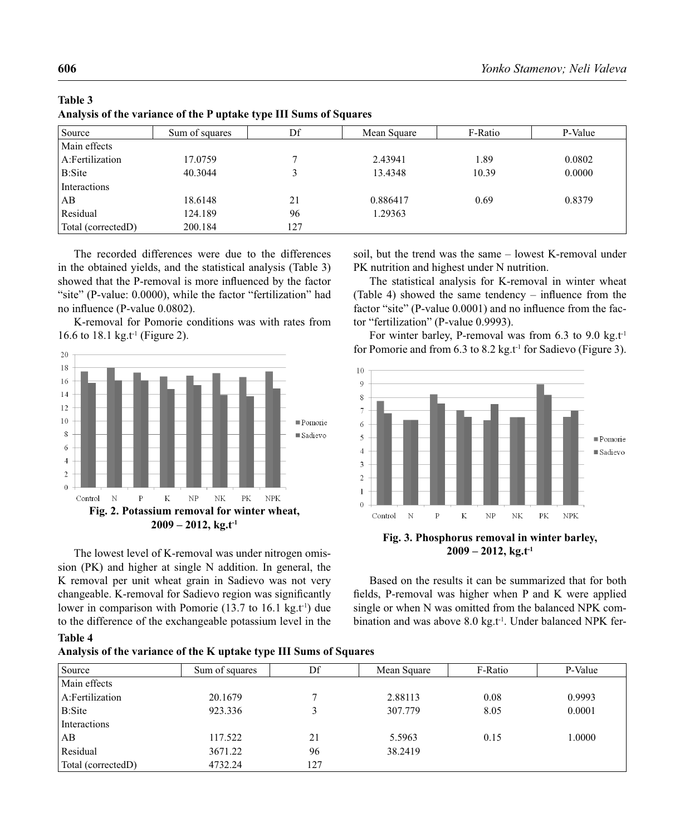| Source             | Sum of squares | Df  | Mean Square | F-Ratio | P-Value |
|--------------------|----------------|-----|-------------|---------|---------|
| Main effects       |                |     |             |         |         |
| A:Fertilization    | 17.0759        |     | 2.43941     | 1.89    | 0.0802  |
| <b>B:Site</b>      | 40.3044        |     | 13.4348     | 10.39   | 0.0000  |
| Interactions       |                |     |             |         |         |
| AB                 | 18.6148        | 21  | 0.886417    | 0.69    | 0.8379  |
| Residual           | 124.189        | 96  | 1.29363     |         |         |
| Total (correctedD) | 200.184        | 127 |             |         |         |

| Table 3                                                           |  |
|-------------------------------------------------------------------|--|
| Analysis of the variance of the P uptake type III Sums of Squares |  |

The recorded differences were due to the differences in the obtained yields, and the statistical analysis (Table 3) showed that the P-removal is more influenced by the factor "site" (P-value: 0.0000), while the factor "fertilization" had no influence (P-value 0.0802).

K-removal for Pomorie conditions was with rates from 16.6 to 18.1 kg.t<sup>-1</sup> (Figure 2).



The lowest level of K-removal was under nitrogen omission (PK) and higher at single N addition. In general, the K removal per unit wheat grain in Sadievo was not very changeable. K-removal for Sadievo region was significantly lower in comparison with Pomorie  $(13.7 \text{ to } 16.1 \text{ kg}, t^1)$  due to the difference of the exchangeable potassium level in the

**Analysis of the variance of the K uptake type III Sums of Squares**

**Table 4**

soil, but the trend was the same – lowest K-removal under PK nutrition and highest under N nutrition.

The statistical analysis for K-removal in winter wheat (Table 4) showed the same tendency – influence from the factor "site" (P-value 0.0001) and no influence from the factor "fertilization" (P-value 0.9993).

For winter barley, P-removal was from 6.3 to 9.0 kg.t<sup>1</sup> for Pomorie and from 6.3 to 8.2 kg.t<sup>-1</sup> for Sadievo (Figure 3).



**Fig. 3. Phosphorus removal in winter barley, 2009 – 2012, kg.t-1**

Based on the results it can be summarized that for both fields, P-removal was higher when P and K were applied single or when N was omitted from the balanced NPK combination and was above 8.0 kg.t<sup>-1</sup>. Under balanced NPK fer-

| Sum of squares | Df  | Mean Square | F-Ratio | P-Value |
|----------------|-----|-------------|---------|---------|
|                |     |             |         |         |
| 20.1679        |     | 2.88113     | 0.08    | 0.9993  |
| 923.336        |     | 307.779     | 8.05    | 0.0001  |
|                |     |             |         |         |
| 117.522        | 21  | 5.5963      | 0.15    | 1.0000  |
| 3671.22        | 96  | 38.2419     |         |         |
| 4732.24        | 127 |             |         |         |
|                |     |             |         |         |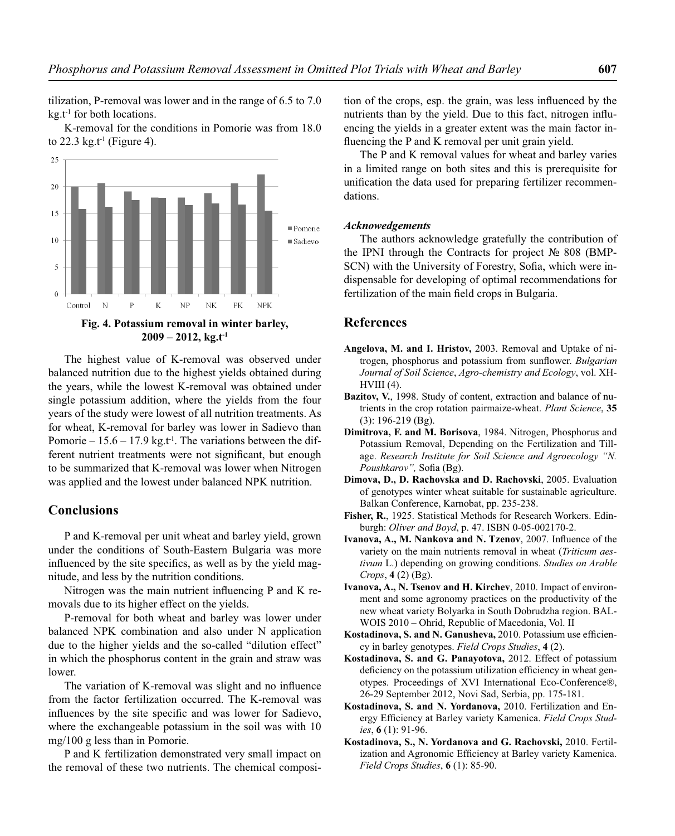tilization, P-removal was lower and in the range of 6.5 to 7.0  $kg.t<sup>1</sup>$  for both locations.

K-removal for the conditions in Pomorie was from 18.0 to 22.3 kg.t<sup>-1</sup> (Figure 4).



**2009 – 2012, kg.t-1**

The highest value of K-removal was observed under balanced nutrition due to the highest yields obtained during the years, while the lowest K-removal was obtained under single potassium addition, where the yields from the four years of the study were lowest of all nutrition treatments. As for wheat, K-removal for barley was lower in Sadievo than Pomorie –  $15.6 - 17.9$  kg.t<sup>-1</sup>. The variations between the different nutrient treatments were not significant, but enough to be summarized that K-removal was lower when Nitrogen was applied and the lowest under balanced NPK nutrition.

### **Conclusions**

P and K-removal per unit wheat and barley yield, grown under the conditions of South-Eastern Bulgaria was more influenced by the site specifics, as well as by the yield magnitude, and less by the nutrition conditions.

Nitrogen was the main nutrient influencing  $P$  and  $K$  removals due to its higher effect on the yields.

P-removal for both wheat and barley was lower under balanced NPK combination and also under N application due to the higher yields and the so-called "dilution effect" in which the phosphorus content in the grain and straw was lower.

The variation of K-removal was slight and no influence from the factor fertilization occurred. The K-removal was influences by the site specific and was lower for Sadievo, where the exchangeable potassium in the soil was with 10 mg/100 g less than in Pomorie.

P and K fertilization demonstrated very small impact on the removal of these two nutrients. The chemical composition of the crops, esp. the grain, was less influenced by the nutrients than by the yield. Due to this fact, nitrogen influencing the yields in a greater extent was the main factor influencing the P and K removal per unit grain yield.

The P and K removal values for wheat and barley varies in a limited range on both sites and this is prerequisite for unification the data used for preparing fertilizer recommendations.

### *Acknowedgements*

The authors acknowledge gratefully the contribution of the IPNI through the Contracts for project № 808 (BMP-SCN) with the University of Forestry, Sofia, which were indispensable for developing of optimal recommendations for fertilization of the main field crops in Bulgaria.

### **References**

- **Angelova, M. and I. Hristov,** 2003. Removal and Uptake of nitrogen, phosphorus and potassium from sunflower. *Bulgarian Journal of Soil Science*, *Agro-chemistry and Ecology*, vol. XH- $HVIII(4)$ .
- **Bazitov, V.**, 1998. Study of content, extraction and balance of nutrients in the crop rotation pairmaize-wheat. *Plant Science*, **35** (3): 196-219 (Bg).
- **Dimitrova, F. and M. Borisova**, 1984. Nitrogen, Phosphorus and Potassium Removal, Depending on the Fertilization and Tillage. *Research Institute for Soil Science and Agroecology "N.*  Poushkarov", Sofia (Bg).
- **Dimova, D., D. Rachovska and D. Rachovski**, 2005. Evaluation of genotypes winter wheat suitable for sustainable agriculture. Balkan Conference, Karnobat, pp. 235-238.
- **Fisher, R.**, 1925. Statistical Methods for Research Workers. Edinburgh: *Oliver and Boyd*, p. 47. ISBN 0-05-002170-2.
- **Ivanova, A., M. Nankova and N. Tzenov**, 2007. Influence of the variety on the main nutrients removal in wheat (*Triticum aestivum* L.) depending on growing conditions. *Studies on Arable Crops*, **4** (2) (Bg).
- **Ivanova, A., N. Tsenov and H. Kirchev**, 2010. Impact of environment and some agronomy practices on the productivity of the new wheat variety Bolyarka in South Dobrudzha region. BAL-WOIS 2010 – Ohrid, Republic of Macedonia, Vol. II
- **Kostadinova, S. and N. Ganusheva, 2010. Potassium use efficien**cy in barley genotypes. *Field Crops Studies*, **4** (2).
- **Kostadinova, S. and G. Panayotova,** 2012. Effect of potassium deficiency on the potassium utilization efficiency in wheat genotypes. Proceedings of XVI International Eco-Conference®, 26-29 September 2012, Novi Sad, Serbia, pp. 175-181.
- **Kostadinova, S. and N. Yordanova,** 2010. Fertilization and Energy Efficiency at Barley variety Kamenica. Field Crops Stud*ies*, **6** (1): 91-96.
- **Kostadinova, S., N. Yordanova and G. Rachovski,** 2010. Fertilization and Agronomic Efficiency at Barley variety Kamenica. *Field Crops Studies*, **6** (1): 85-90.